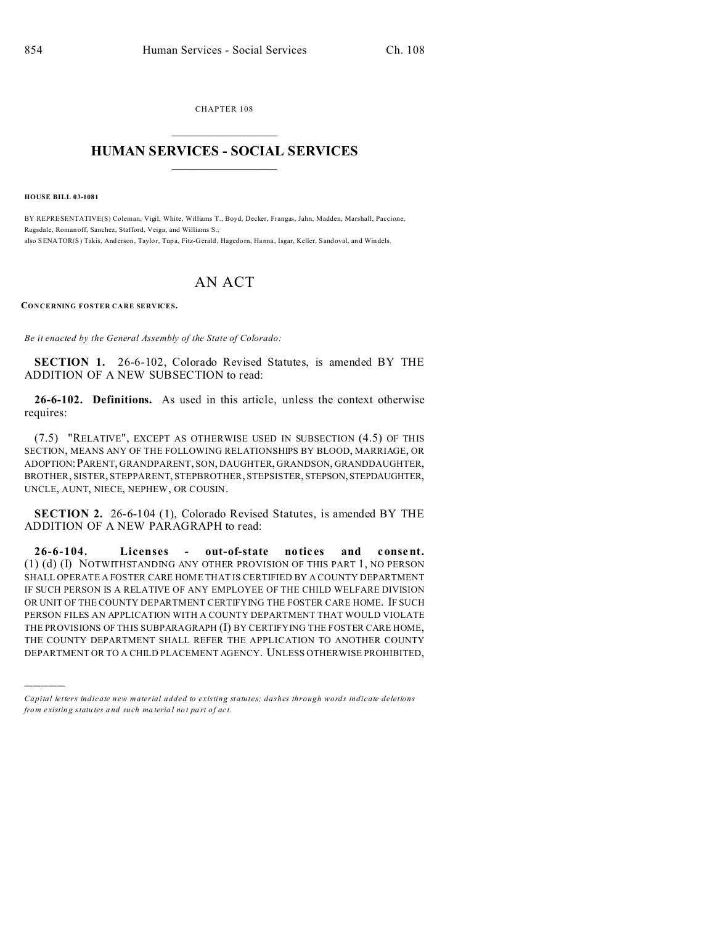CHAPTER 108  $\overline{\phantom{a}}$  , where  $\overline{\phantom{a}}$ 

## **HUMAN SERVICES - SOCIAL SERVICES**  $\frac{1}{2}$  ,  $\frac{1}{2}$  ,  $\frac{1}{2}$  ,  $\frac{1}{2}$  ,  $\frac{1}{2}$  ,  $\frac{1}{2}$

**HOUSE BILL 03-1081**

)))))

BY REPRESENTATIVE(S) Coleman, Vigil, White, Williams T., Boyd, Decker, Frangas, Jahn, Madden, Marshall, Paccione, Ragsdale, Romanoff, Sanchez, Stafford, Veiga, and Williams S.; also SENATOR(S) Takis, Anderson, Taylor, Tupa, Fitz-Gerald, Hagedorn, Hanna, Isgar, Keller, Sandoval, and Windels.

## AN ACT

**CONCERNING FOSTER CARE SERVICES.**

*Be it enacted by the General Assembly of the State of Colorado:*

**SECTION 1.** 26-6-102, Colorado Revised Statutes, is amended BY THE ADDITION OF A NEW SUBSECTION to read:

**26-6-102. Definitions.** As used in this article, unless the context otherwise requires:

(7.5) "RELATIVE", EXCEPT AS OTHERWISE USED IN SUBSECTION (4.5) OF THIS SECTION, MEANS ANY OF THE FOLLOWING RELATIONSHIPS BY BLOOD, MARRIAGE, OR ADOPTION:PARENT, GRANDPARENT, SON, DAUGHTER, GRANDSON, GRANDDAUGHTER, BROTHER, SISTER, STEPPARENT, STEPBROTHER, STEPSISTER, STEPSON, STEPDAUGHTER, UNCLE, AUNT, NIECE, NEPHEW, OR COUSIN.

**SECTION 2.** 26-6-104 (1), Colorado Revised Statutes, is amended BY THE ADDITION OF A NEW PARAGRAPH to read:

26-6-104. Licenses - out-of-state notices and consent. (1) (d) (I) NOTWITHSTANDING ANY OTHER PROVISION OF THIS PART 1, NO PERSON SHALL OPERATE A FOSTER CARE HOME THAT IS CERTIFIED BY A COUNTY DEPARTMENT IF SUCH PERSON IS A RELATIVE OF ANY EMPLOYEE OF THE CHILD WELFARE DIVISION OR UNIT OF THE COUNTY DEPARTMENT CERTIFYING THE FOSTER CARE HOME. IF SUCH PERSON FILES AN APPLICATION WITH A COUNTY DEPARTMENT THAT WOULD VIOLATE THE PROVISIONS OF THIS SUBPARAGRAPH (I) BY CERTIFYING THE FOSTER CARE HOME, THE COUNTY DEPARTMENT SHALL REFER THE APPLICATION TO ANOTHER COUNTY DEPARTMENT OR TO A CHILD PLACEMENT AGENCY. UNLESS OTHERWISE PROHIBITED,

*Capital letters indicate new material added to existing statutes; dashes through words indicate deletions from e xistin g statu tes a nd such ma teria l no t pa rt of ac t.*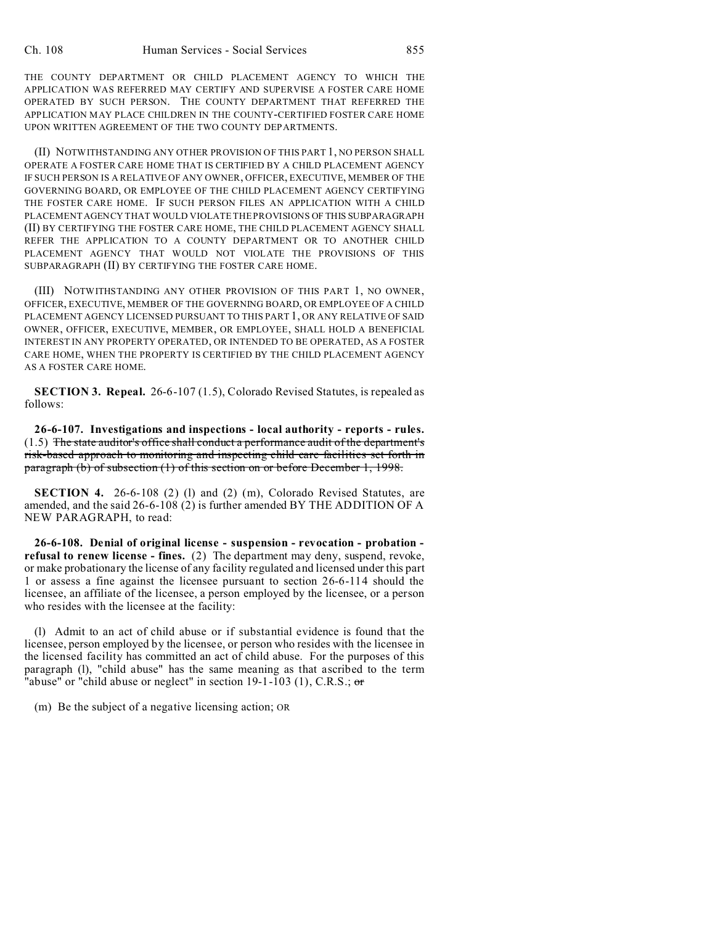THE COUNTY DEPARTMENT OR CHILD PLACEMENT AGENCY TO WHICH THE APPLICATION WAS REFERRED MAY CERTIFY AND SUPERVISE A FOSTER CARE HOME OPERATED BY SUCH PERSON. THE COUNTY DEPARTMENT THAT REFERRED THE APPLICATION MAY PLACE CHILDREN IN THE COUNTY-CERTIFIED FOSTER CARE HOME UPON WRITTEN AGREEMENT OF THE TWO COUNTY DEPARTMENTS.

(II) NOTWITHSTANDING ANY OTHER PROVISION OF THIS PART 1, NO PERSON SHALL OPERATE A FOSTER CARE HOME THAT IS CERTIFIED BY A CHILD PLACEMENT AGENCY IF SUCH PERSON IS A RELATIVE OF ANY OWNER, OFFICER, EXECUTIVE, MEMBER OF THE GOVERNING BOARD, OR EMPLOYEE OF THE CHILD PLACEMENT AGENCY CERTIFYING THE FOSTER CARE HOME. IF SUCH PERSON FILES AN APPLICATION WITH A CHILD PLACEMENT AGENCY THAT WOULD VIOLATE THE PROVISIONS OF THIS SUBPARAGRAPH (II) BY CERTIFYING THE FOSTER CARE HOME, THE CHILD PLACEMENT AGENCY SHALL REFER THE APPLICATION TO A COUNTY DEPARTMENT OR TO ANOTHER CHILD PLACEMENT AGENCY THAT WOULD NOT VIOLATE THE PROVISIONS OF THIS SUBPARAGRAPH (II) BY CERTIFYING THE FOSTER CARE HOME.

(III) NOTWITHSTANDING ANY OTHER PROVISION OF THIS PART 1, NO OWNER, OFFICER, EXECUTIVE, MEMBER OF THE GOVERNING BOARD, OR EMPLOYEE OF A CHILD PLACEMENT AGENCY LICENSED PURSUANT TO THIS PART 1, OR ANY RELATIVE OF SAID OWNER, OFFICER, EXECUTIVE, MEMBER, OR EMPLOYEE, SHALL HOLD A BENEFICIAL INTEREST IN ANY PROPERTY OPERATED, OR INTENDED TO BE OPERATED, AS A FOSTER CARE HOME, WHEN THE PROPERTY IS CERTIFIED BY THE CHILD PLACEMENT AGENCY AS A FOSTER CARE HOME.

**SECTION 3. Repeal.** 26-6-107 (1.5), Colorado Revised Statutes, is repealed as follows:

**26-6-107. Investigations and inspections - local authority - reports - rules.** (1.5) The state auditor's office shall conduct a performance audit of the department's risk-based approach to monitoring and inspecting child care facilities set forth in paragraph (b) of subsection (1) of this section on or before December 1, 1998.

**SECTION 4.** 26-6-108 (2) (1) and (2) (m), Colorado Revised Statutes, are amended, and the said 26-6-108 (2) is further amended BY THE ADDITION OF A NEW PARAGRAPH, to read:

**26-6-108. Denial of original license - suspension - revocation - probation refusal to renew license - fines.** (2) The department may deny, suspend, revoke, or make probationary the license of any facility regulated and licensed under this part 1 or assess a fine against the licensee pursuant to section 26-6-114 should the licensee, an affiliate of the licensee, a person employed by the licensee, or a person who resides with the licensee at the facility:

(l) Admit to an act of child abuse or if substantial evidence is found that the licensee, person employed by the licensee, or person who resides with the licensee in the licensed facility has committed an act of child abuse. For the purposes of this paragraph (l), "child abuse" has the same meaning as that ascribed to the term "abuse" or "child abuse or neglect" in section  $19-1-103$  (1), C.R.S.; or

(m) Be the subject of a negative licensing action; OR